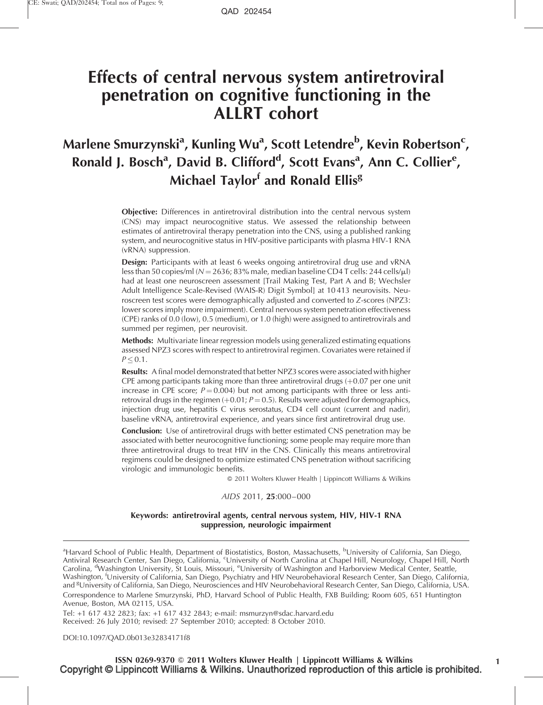# Effects of central nervous system antiretroviral penetration on cognitive functioning in the ALLRT cohort

# Marlene Smurzynski<sup>a</sup>, Kunling Wu<sup>a</sup>, Scott Letendre<sup>b</sup>, Kevin Robertson<sup>c</sup>, Ronald J. Bosch<sup>a</sup>, David B. Clifford<sup>d</sup>, Scott Evans<sup>a</sup>, Ann C. Collier<sup>e</sup>, Michael Taylor<sup>f</sup> and Ronald Ellis<sup>8</sup>

**Objective:** Differences in antiretroviral distribution into the central nervous system (CNS) may impact neurocognitive status. We assessed the relationship between estimates of antiretroviral therapy penetration into the CNS, using a published ranking system, and neurocognitive status in HIV-positive participants with plasma HIV-1 RNA (vRNA) suppression.

Design: Participants with at least 6 weeks ongoing antiretroviral drug use and vRNA less than 50 copies/ml ( $N = 2636$ ; 83% male, median baseline CD4 T cells: 244 cells/ $\mu$ l) had at least one neuroscreen assessment [Trail Making Test, Part A and B; Wechsler Adult Intelligence Scale-Revised (WAIS-R) Digit Symbol] at 10 413 neurovisits. Neuroscreen test scores were demographically adjusted and converted to Z-scores (NPZ3: lower scores imply more impairment). Central nervous system penetration effectiveness (CPE) ranks of 0.0 (low), 0.5 (medium), or 1.0 (high) were assigned to antiretrovirals and summed per regimen, per neurovisit.

Methods: Multivariate linear regression models using generalized estimating equations assessed NPZ3 scores with respect to antiretroviral regimen. Covariates were retained if  $P \leq 0.1$ .

Results: A final model demonstrated that better NPZ3 scores were associated with higher CPE among participants taking more than three antiretroviral drugs  $(+0.07$  per one unit increase in CPE score;  $P = 0.004$ ) but not among participants with three or less antiretroviral drugs in the regimen  $(+0.01; P=0.5)$ . Results were adjusted for demographics, injection drug use, hepatitis C virus serostatus, CD4 cell count (current and nadir), baseline vRNA, antiretroviral experience, and years since first antiretroviral drug use.

Conclusion: Use of antiretroviral drugs with better estimated CNS penetration may be associated with better neurocognitive functioning; some people may require more than three antiretroviral drugs to treat HIV in the CNS. Clinically this means antiretroviral regimens could be designed to optimize estimated CNS penetration without sacrificing virologic and immunologic benefits.

- 2011 Wolters Kluwer Health | Lippincott Williams & Wilkins

#### AIDS 2011, 25:000–000

#### Keywords: antiretroviral agents, central nervous system, HIV, HIV-1 RNA suppression, neurologic impairment

<sup>a</sup>Harvard School of Public Health, Department of Biostatistics, Boston, Massachusetts, <sup>b</sup>University of California, San Diego, Antiviral Research Center, San Diego, California, <sup>c</sup>University of North Carolina at Chapel Hill, Neurology, Chapel Hill, North Carolina, <sup>d</sup>Washington University, St Louis, Missouri, <sup>e</sup>University of Washington and Harborview Medical Center, Seattle, Washington, <sup>f</sup>University of California, San Diego, Psychiatry and HIV Neurobehavioral Research Center, San Diego, California, and <sup>g</sup>University of California, San Diego, Neurosciences and HIV Neurobehavioral Research Center, San Diego, California, USA. Correspondence to Marlene Smurzynski, PhD, Harvard School of Public Health, FXB Building; Room 605, 651 Huntington Avenue, Boston, MA 02115, USA.

Tel: +1 617 432 2823; fax: +1 617 432 2843; e-mail: [msmurzyn@sdac.harvard.edu](mailto:msmurzyn@sdac.harvard.edu) Received: 26 July 2010; revised: 27 September 2010; accepted: 8 October 2010.

DOI[:10.1097/QAD.0b013e32834171f8](http://dx.doi.org/10.1097/QAD.0b013e32834171f8)

## Copyright © Lippincott Williams & Wilkins. Unauthorized reproduction of this article is prohibited. ISSN 0269-9370 © 2011 Wolters Kluwer Health | Lippincott Williams & Wilkins 1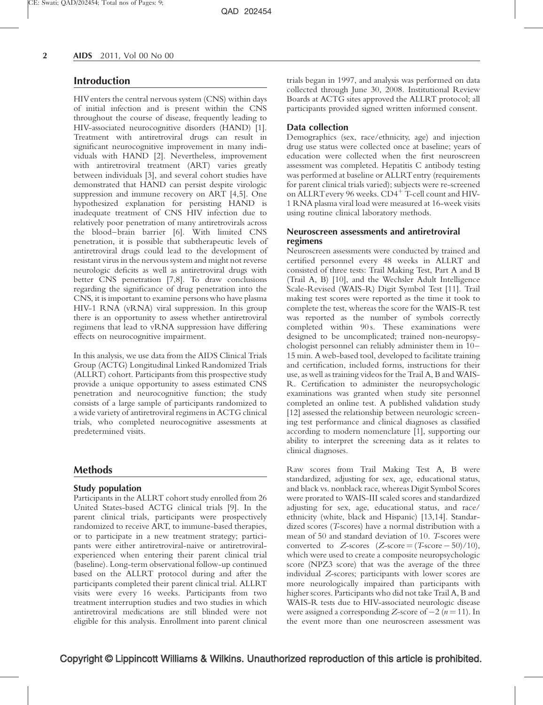# Introduction

HIVenters the central nervous system (CNS) within days of initial infection and is present within the CNS throughout the course of disease, frequently leading to HIV-associated neurocognitive disorders (HAND) [\[1\]](#page-7-0). Treatment with antiretroviral drugs can result in significant neurocognitive improvement in many individuals with HAND [\[2\].](#page-7-0) Nevertheless, improvement with antiretroviral treatment (ART) varies greatly between individuals [\[3\]](#page-7-0), and several cohort studies have demonstrated that HAND can persist despite virologic suppression and immune recovery on ART [\[4,5\]](#page-7-0). One hypothesized explanation for persisting HAND is inadequate treatment of CNS HIV infection due to relatively poor penetration of many antiretrovirals across the blood–brain barrier [\[6\]](#page-7-0). With limited CNS penetration, it is possible that subtherapeutic levels of antiretroviral drugs could lead to the development of resistant virus in the nervous system and might not reverse neurologic deficits as well as antiretroviral drugs with better CNS penetration [\[7,8\]](#page-7-0). To draw conclusions regarding the significance of drug penetration into the CNS, it is important to examine persons who have plasma HIV-1 RNA (vRNA) viral suppression. In this group there is an opportunity to assess whether antiretroviral regimens that lead to vRNA suppression have differing effects on neurocognitive impairment.

In this analysis, we use data from the AIDS Clinical Trials Group (ACTG) Longitudinal Linked Randomized Trials (ALLRT) cohort. Participants from this prospective study provide a unique opportunity to assess estimated CNS penetration and neurocognitive function; the study consists of a large sample of participants randomized to a wide variety of antiretroviral regimens in ACTG clinical trials, who completed neurocognitive assessments at predetermined visits.

## Methods

#### Study population

Participants in the ALLRT cohort study enrolled from 26 United States-based ACTG clinical trials [\[9\].](#page-7-0) In the parent clinical trials, participants were prospectively randomized to receive ART, to immune-based therapies, or to participate in a new treatment strategy; participants were either antiretroviral-naive or antiretroviralexperienced when entering their parent clinical trial (baseline). Long-term observational follow-up continued based on the ALLRT protocol during and after the participants completed their parent clinical trial. ALLRT visits were every 16 weeks. Participants from two treatment interruption studies and two studies in which antiretroviral medications are still blinded were not eligible for this analysis. Enrollment into parent clinical trials began in 1997, and analysis was performed on data collected through June 30, 2008. Institutional Review Boards at ACTG sites approved the ALLRT protocol; all participants provided signed written informed consent.

#### Data collection

Demographics (sex, race/ethnicity, age) and injection drug use status were collected once at baseline; years of education were collected when the first neuroscreen assessment was completed. Hepatitis C antibody testing was performed at baseline or ALLRTentry (requirements for parent clinical trials varied); subjects were re-screened on ALLRT every 96 weeks.  $CD4^+$  T-cell count and HIV-1 RNA plasma viral load were measured at 16-week visits using routine clinical laboratory methods.

#### Neuroscreen assessments and antiretroviral regimens

Neuroscreen assessments were conducted by trained and certified personnel every 48 weeks in ALLRT and consisted of three tests: Trail Making Test, Part A and B (Trail A, B) [\[10\]](#page-7-0), and the Wechsler Adult Intelligence Scale-Revised (WAIS-R) Digit Symbol Test [\[11\]](#page-7-0). Trail making test scores were reported as the time it took to complete the test, whereas the score for the WAIS-R test was reported as the number of symbols correctly completed within 90 s. These examinations were designed to be uncomplicated; trained non-neuropsychologist personnel can reliably administer them in 10– 15 min. A web-based tool, developed to facilitate training and certification, included forms, instructions for their use, as well as training videos for the Trail A, B and WAIS-R. Certification to administer the neuropsychologic examinations was granted when study site personnel completed an online test. A published validation study [\[12\]](#page-7-0) assessed the relationship between neurologic screening test performance and clinical diagnoses as classified according to modern nomenclature [\[1\]](#page-7-0), supporting our ability to interpret the screening data as it relates to clinical diagnoses.

Raw scores from Trail Making Test A, B were standardized, adjusting for sex, age, educational status, and black vs. nonblack race, whereas Digit Symbol Scores were prorated to WAIS-III scaled scores and standardized adjusting for sex, age, educational status, and race/ ethnicity (white, black and Hispanic) [\[13,14\]](#page-7-0). Standardized scores (T-scores) have a normal distribution with a mean of 50 and standard deviation of 10. T-scores were converted to Z-scores  $(Z\text{-score} = (T\text{-score} - 50)/10)$ , which were used to create a composite neuropsychologic score (NPZ3 score) that was the average of the three individual Z-scores; participants with lower scores are more neurologically impaired than participants with higher scores. Participants who did not take Trail A, B and WAIS-R tests due to HIV-associated neurologic disease were assigned a corresponding Z-score of  $-2$  ( $n = 11$ ). In the event more than one neuroscreen assessment was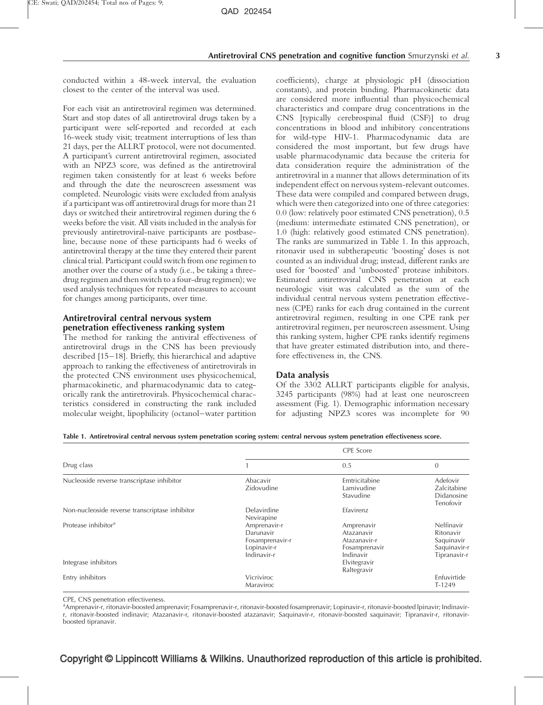conducted within a 48-week interval, the evaluation closest to the center of the interval was used.

For each visit an antiretroviral regimen was determined. Start and stop dates of all antiretroviral drugs taken by a participant were self-reported and recorded at each 16-week study visit; treatment interruptions of less than 21 days, per the ALLRT protocol, were not documented. A participant's current antiretroviral regimen, associated with an NPZ3 score, was defined as the antiretroviral regimen taken consistently for at least 6 weeks before and through the date the neuroscreen assessment was completed. Neurologic visits were excluded from analysis if a participant was off antiretroviral drugs for more than 21 days or switched their antiretroviral regimen during the 6 weeks before the visit. All visits included in the analysis for previously antiretroviral-naive participants are postbaseline, because none of these participants had 6 weeks of antiretroviral therapy at the time they entered their parent clinical trial. Participant could switch from one regimen to another over the course of a study (i.e., be taking a threedrug regimen and then switch to a four-drug regimen); we used analysis techniques for repeated measures to account for changes among participants, over time.

## Antiretroviral central nervous system penetration effectiveness ranking system

The method for ranking the antiviral effectiveness of antiretroviral drugs in the CNS has been previously described [\[15–18\].](#page-7-0) Briefly, this hierarchical and adaptive approach to ranking the effectiveness of antiretrovirals in the protected CNS environment uses physicochemical, pharmacokinetic, and pharmacodynamic data to categorically rank the antiretrovirals. Physicochemical characteristics considered in constructing the rank included molecular weight, lipophilicity (octanol–water partition

coefficients), charge at physiologic pH (dissociation constants), and protein binding. Pharmacokinetic data are considered more influential than physicochemical characteristics and compare drug concentrations in the CNS [typically cerebrospinal fluid (CSF)] to drug concentrations in blood and inhibitory concentrations for wild-type HIV-1. Pharmacodynamic data are considered the most important, but few drugs have usable pharmacodynamic data because the criteria for data consideration require the administration of the antiretroviral in a manner that allows determination of its independent effect on nervous system-relevant outcomes. These data were compiled and compared between drugs, which were then categorized into one of three categories: 0.0 (low: relatively poor estimated CNS penetration), 0.5 (medium: intermediate estimated CNS penetration), or 1.0 (high: relatively good estimated CNS penetration). The ranks are summarized in Table 1. In this approach, ritonavir used in subtherapeutic 'boosting' doses is not counted as an individual drug; instead, different ranks are used for 'boosted' and 'unboosted' protease inhibitors. Estimated antiretroviral CNS penetration at each neurologic visit was calculated as the sum of the individual central nervous system penetration effectiveness (CPE) ranks for each drug contained in the current antiretroviral regimen, resulting in one CPE rank per antiretroviral regimen, per neuroscreen assessment. Using this ranking system, higher CPE ranks identify regimens that have greater estimated distribution into, and therefore effectiveness in, the CNS.

# Data analysis

Of the 3302 ALLRT participants eligible for analysis, 3245 participants (98%) had at least one neuroscreen assessment ([Fig. 1](#page-3-0)). Demographic information necessary for adjusting NPZ3 scores was incomplete for 90

|  |  |  |  |  | Table 1. Antiretroviral central nervous system penetration scoring system: central nervous system penetration effectiveness score. |
|--|--|--|--|--|------------------------------------------------------------------------------------------------------------------------------------|
|--|--|--|--|--|------------------------------------------------------------------------------------------------------------------------------------|

|                                                |                                                                            | <b>CPE</b> Score                                                       |                                                                       |
|------------------------------------------------|----------------------------------------------------------------------------|------------------------------------------------------------------------|-----------------------------------------------------------------------|
| Drug class                                     |                                                                            | 0.5                                                                    | $\overline{0}$                                                        |
| Nucleoside reverse transcriptase inhibitor     | Abacavir<br>Zidovudine                                                     | Emtricitabine<br>Lamivudine<br>Stavudine                               | Adefovir<br>Zalcitabine<br>Didanosine<br>Tenofovir                    |
| Non-nucleoside reverse transcriptase inhibitor | Delavirdine<br>Nevirapine                                                  | Efavirenz                                                              |                                                                       |
| Protease inhibitor <sup>a</sup>                | Amprenavir-r<br>Darunavir<br>Fosamprenavir-r<br>Lopinavir-r<br>Indinavir-r | Amprenavir<br>Atazanavir<br>Atazanavir-r<br>Fosamprenavir<br>Indinavir | Nelfinavir<br>Ritonavir<br>Saquinavir<br>Saquinavir-r<br>Tipranavir-r |
| Integrase inhibitors                           |                                                                            | Elvitegravir<br>Raltegravir                                            |                                                                       |
| Entry inhibitors                               | Vicriviroc<br>Maraviroc                                                    |                                                                        | Enfuvirtide<br>$T-1249$                                               |

CPE, CNS penetration effectiveness.

a<br>Amprenavir-r, ritonavir-boosted amprenavir; Fosamprenavir-r, ritonavir-boosted fosamprenavir; Lopinavir-r, ritonavir-boosted Ipinavir; Indinavirr, ritonavir-boosted indinavir; Atazanavir-r, ritonavir-boosted atazanavir; Saquinavir-r, ritonavir-boosted saquinavir; Tipranavir-r, ritonavirboosted tipranavir.

# Copyright © Lippincott Williams & Wilkins. Unauthorized reproduction of this article is prohibited.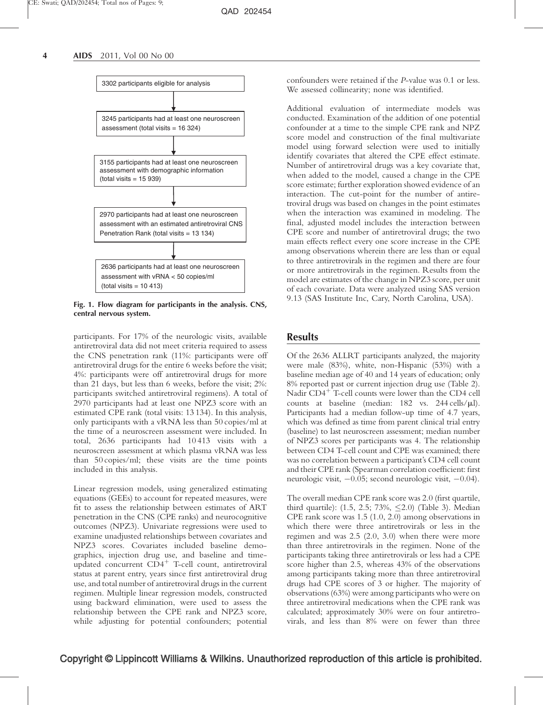<span id="page-3-0"></span>

Fig. 1. Flow diagram for participants in the analysis. CNS, central nervous system.

participants. For 17% of the neurologic visits, available antiretroviral data did not meet criteria required to assess the CNS penetration rank (11%: participants were off antiretroviral drugs for the entire 6 weeks before the visit; 4%: participants were off antiretroviral drugs for more than 21 days, but less than 6 weeks, before the visit; 2%: participants switched antiretroviral regimens). A total of 2970 participants had at least one NPZ3 score with an estimated CPE rank (total visits: 13 134). In this analysis, only participants with a vRNA less than 50 copies/ml at the time of a neuroscreen assessment were included. In total, 2636 participants had 10 413 visits with a neuroscreen assessment at which plasma vRNA was less than 50 copies/ml; these visits are the time points included in this analysis.

Linear regression models, using generalized estimating equations (GEEs) to account for repeated measures, were fit to assess the relationship between estimates of ART penetration in the CNS (CPE ranks) and neurocognitive outcomes (NPZ3). Univariate regressions were used to examine unadjusted relationships between covariates and NPZ3 scores. Covariates included baseline demographics, injection drug use, and baseline and timeupdated concurrent  $CD4^+$  T-cell count, antiretroviral status at parent entry, years since first antiretroviral drug use, and total number of antiretroviral drugs in the current regimen. Multiple linear regression models, constructed using backward elimination, were used to assess the relationship between the CPE rank and NPZ3 score, while adjusting for potential confounders; potential confounders were retained if the P-value was 0.1 or less. We assessed collinearity; none was identified.

Additional evaluation of intermediate models was conducted. Examination of the addition of one potential confounder at a time to the simple CPE rank and NPZ score model and construction of the final multivariate model using forward selection were used to initially identify covariates that altered the CPE effect estimate. Number of antiretroviral drugs was a key covariate that, when added to the model, caused a change in the CPE score estimate; further exploration showed evidence of an interaction. The cut-point for the number of antiretroviral drugs was based on changes in the point estimates when the interaction was examined in modeling. The final, adjusted model includes the interaction between CPE score and number of antiretroviral drugs; the two main effects reflect every one score increase in the CPE among observations wherein there are less than or equal to three antiretrovirals in the regimen and there are four or more antiretrovirals in the regimen. Results from the model are estimates of the change in NPZ3 score, per unit of each covariate. Data were analyzed using SAS version 9.13 (SAS Institute Inc, Cary, North Carolina, USA).

## **Results**

Of the 2636 ALLRT participants analyzed, the majority were male (83%), white, non-Hispanic (53%) with a baseline median age of 40 and 14 years of education; only 8% reported past or current injection drug use ([Table 2](#page-4-0)). Nadir  $CD4^+$  T-cell counts were lower than the CD4 cell counts at baseline (median:  $182$  vs.  $244$  cells/ $\mu$ l). Participants had a median follow-up time of 4.7 years, which was defined as time from parent clinical trial entry (baseline) to last neuroscreen assessment; median number of NPZ3 scores per participants was 4. The relationship between CD4 T-cell count and CPE was examined; there was no correlation between a participant's CD4 cell count and their CPE rank (Spearman correlation coefficient: first neurologic visit,  $-0.05$ ; second neurologic visit,  $-0.04$ ).

The overall median CPE rank score was 2.0 (first quartile, third quartile):  $(1.5, 2.5; 73\%, \leq 2.0)$  ([Table 3\)](#page-4-0). Median CPE rank score was 1.5 (1.0, 2.0) among observations in which there were three antiretrovirals or less in the regimen and was 2.5 (2.0, 3.0) when there were more than three antiretrovirals in the regimen. None of the participants taking three antiretrovirals or less had a CPE score higher than 2.5, whereas 43% of the observations among participants taking more than three antiretroviral drugs had CPE scores of 3 or higher. The majority of observations (63%) were among participants who were on three antiretroviral medications when the CPE rank was calculated; approximately 30% were on four antiretrovirals, and less than 8% were on fewer than three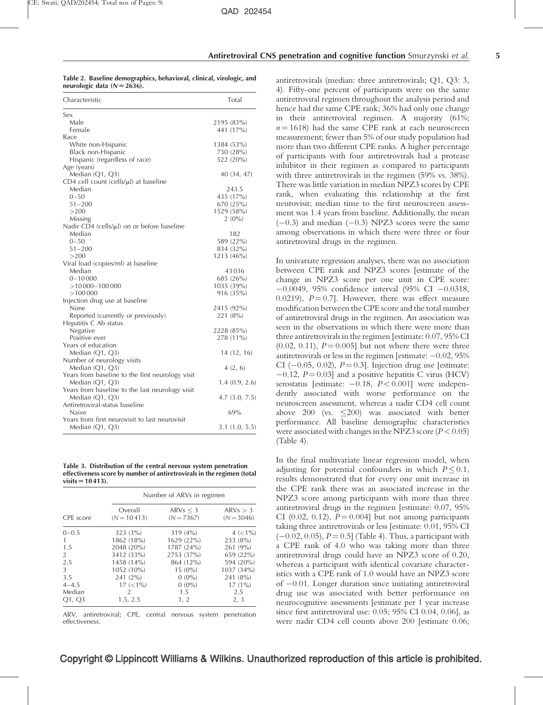<span id="page-4-0"></span>

|  | Table 2.  Baseline demographics, behavioral, clinical, virologic, and |  |  |  |
|--|-----------------------------------------------------------------------|--|--|--|
|  | neurologic data ( $N = 2636$ ).                                       |  |  |  |

| Characteristic                                   | Total              |
|--------------------------------------------------|--------------------|
| Sex                                              |                    |
| Male                                             | 2195 (83%)         |
| Female                                           | 441 (17%)          |
| Race                                             |                    |
| White non-Hispanic                               | 1384 (53%)         |
| Black non-Hispanic                               | 730 (28%)          |
| Hispanic (regardless of race)                    | 522 (20%)          |
| Age (years)                                      |                    |
| Median (Q1, Q3)                                  | 40 (34, 47)        |
| $CD4$ cell count (cells/ $\mu$ l) at baseline    |                    |
| Median                                           | 243.5              |
| $0 - 50$                                         | 435 (17%)          |
| $51 - 200$                                       | 670 (25%)          |
| >200                                             | 1529 (58%)         |
| Missing                                          | $2(0\%)$           |
| Nadir CD4 (cells/µl) on or before baseline       |                    |
| Median                                           | 182                |
| $0 - 50$                                         | 589 (22%)          |
| $51 - 200$                                       | 834 (32%)          |
| >200                                             | 1213 (46%)         |
| Viral load (copies/ml) at baseline               |                    |
| Median                                           | 43036              |
| $0 - 10000$                                      | 685 (26%)          |
| $>10000 - 100000$                                | 1035 (39%)         |
| >100000                                          | 916 (35%)          |
| Injection drug use at baseline                   |                    |
| None                                             | 2415 (92%)         |
| Reported (currently or previously)               | 221 (8%)           |
| Hepatitis C Ab status                            |                    |
| Negative                                         | 2228 (85%)         |
| Positive ever                                    | 278 (11%)          |
| Years of education                               |                    |
| Median (Q1, Q3)                                  | 14 (12, 16)        |
| Number of neurology visits                       |                    |
| Median $(Q1, Q3)$                                | 4(2, 6)            |
| Years from baseline to the first neurology visit |                    |
| Median $(Q1, Q3)$                                | 1.4(0.9, 2.6)      |
| Years from baseline to the last neurology visit  |                    |
| Median $(Q1, Q3)$                                | $4.7$ $(3.0, 7.5)$ |
| Antiretroviral-status baseline                   |                    |
| Naive                                            | 69%                |
| Years from first neurovisit to last neurovisit   |                    |
| Median (Q1, Q3)                                  | 3.1(1.0, 5.5)      |

Table 3. Distribution of the central nervous system penetration effectiveness score by number of antiretrovirals in the regimen (total  $visits = 10 413$ .

|           | Number of ARVs in regimen |                          |                          |  |  |
|-----------|---------------------------|--------------------------|--------------------------|--|--|
| CPE score | Overall<br>$(N = 10413)$  | ARVs < 3<br>$(N = 7367)$ | ARVs > 3<br>$(N = 3046)$ |  |  |
| $0 - 0.5$ | 323 (3%)                  | $319(4\%)$               | 4 $(<1\%)$               |  |  |
|           | 1862 (18%)                | 1629 (22%)               | 233 (8%)                 |  |  |
| 1.5       | 2048 (20%)                | 1787 (24%)               | 261(9%)                  |  |  |
| 2         | 3412 (33%)                | 2753 (37%)               | 659 (22%)                |  |  |
| 2.5       | 1458 (14%)                | 864 (12%)                | 594 (20%)                |  |  |
| 3         | 1052 (10%)                | $15(0\%)$                | 1037(34%)                |  |  |
| 3.5       | 241(2%)                   | $0(0\%)$                 | 241(8%)                  |  |  |
| $4 - 4.5$ | $17 (< 1\%)$              | $0(0\%)$                 | $17(1\%)$                |  |  |
| Median    | 2                         | 1.5                      | 2.5                      |  |  |
| Q1, Q3    | 1.5, 2.5                  | 1, 2                     | 2, 3                     |  |  |

ARV, antiretroviral; CPE, central nervous system penetration effectiveness.

antiretrovirals (median: three antiretrovirals; Q1, Q3: 3, 4). Fifty-one percent of participants were on the same antiretroviral regimen throughout the analysis period and hence had the same CPE rank; 36% had only one change in their antiretroviral regimen. A majority (61%;  $n = 1618$ ) had the same CPE rank at each neuroscreen measurement; fewer than 5% of our study population had more than two different CPE ranks. A higher percentage of participants with four antiretrovirals had a protease inhibitor in their regimen as compared to participants with three antiretrovirals in the regimen (59% vs. 38%). There was little variation in median NPZ3 scores by CPE rank, when evaluating this relationship at the first neurovisit; median time to the first neuroscreen assessment was 1.4 years from baseline. Additionally, the mean  $(-0.3)$  and median  $(-0.3)$  NPZ3 scores were the same among observations in which there were three or four antiretroviral drugs in the regimen.

In univariate regression analyses, there was no association between CPE rank and NPZ3 scores [estimate of the change in NPZ3 score per one unit in CPE score:  $-0.0049$ , 95% confidence interval (95% CI  $-0.0318$ , 0.0219),  $P = 0.7$ . However, there was effect measure modification between the CPE score and the total number of antiretroviral drugs in the regimen. An association was seen in the observations in which there were more than three antiretrovirals in the regimen [estimate: 0.07, 95% CI  $(0.02, 0.11), P = 0.005$ ] but not where there were three antiretrovirals or less in the regimen [estimate:  $-0.02$ , 95% CI ( $-0.05$ ,  $0.02$ ),  $P = 0.3$ ]. Injection drug use [estimate:  $-0.12$ ,  $P = 0.03$ ] and a positive hepatitis C virus (HCV) serostatus [estimate:  $-0.18$ ,  $P < 0.001$ ] were independently associated with worse performance on the neuroscreen assessment, whereas a nadir CD4 cell count above 200 (vs.  $\leq$ 200) was associated with better performance. All baseline demographic characteristics were associated with changes in the NPZ3 score ( $P < 0.05$ ) ([Table 4](#page-5-0)).

In the final multivariate linear regression model, when adjusting for potential confounders in which  $P \leq 0.1$ , results demonstrated that for every one unit increase in the CPE rank there was an associated increase in the NPZ3 score among participants with more than three antiretroviral drugs in the regimen [estimate: 0.07, 95% CI (0.02, 0.12),  $P = 0.004$  but not among participants taking three antiretrovirals or less [estimate: 0.01, 95% CI  $(-0.02, 0.05), P = 0.5$  ([Table 4](#page-5-0)). Thus, a participant with a CPE rank of 4.0 who was taking more than three antiretroviral drugs could have an NPZ3 score of 0.20, whereas a participant with identical covariate characteristics with a CPE rank of 1.0 would have an NPZ3 score of  $-0.01$ . Longer duration since initiating antiretroviral drug use was associated with better performance on neurocognitive assessments [estimate per 1 year increase since first antiretroviral use: 0.05; 95% CI 0.04, 0.06], as were nadir CD4 cell counts above 200 [estimate 0.06;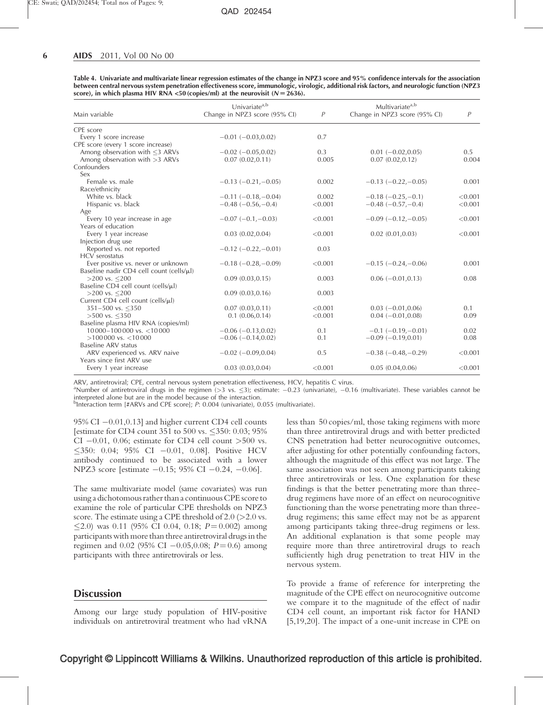| Main variable                                        | Univariate <sup>a,b</sup><br>Change in NPZ3 score (95% CI) | $\overline{P}$ | Multivariate <sup>a,b</sup><br>Change in NPZ3 score (95% CI) | $\overline{P}$ |
|------------------------------------------------------|------------------------------------------------------------|----------------|--------------------------------------------------------------|----------------|
| CPE score                                            |                                                            |                |                                                              |                |
| Every 1 score increase                               | $-0.01$ $(-0.03, 0.02)$                                    | 0.7            |                                                              |                |
| CPE score (every 1 score increase)                   |                                                            |                |                                                              |                |
| Among observation with $\leq$ 3 ARVs                 | $-0.02$ ( $-0.05, 0.02$ )                                  | 0.3            | $0.01 (-0.02, 0.05)$                                         | 0.5            |
| Among observation with $>3$ ARVs                     | 0.07(0.02, 0.11)                                           | 0.005          | 0.07(0.02, 0.12)                                             | 0.004          |
| Confounders                                          |                                                            |                |                                                              |                |
| <b>Sex</b>                                           |                                                            |                |                                                              |                |
| Female vs. male                                      | $-0.13$ $(-0.21,-0.05)$                                    | 0.002          | $-0.13$ $(-0.22,-0.05)$                                      | 0.001          |
| Race/ethnicity                                       |                                                            |                |                                                              |                |
| White vs. black                                      | $-0.11 (-0.18, -0.04)$                                     | 0.002          | $-0.18(-0.25,-0.1)$                                          | < 0.001        |
| Hispanic vs. black                                   | $-0.48$ ( $-0.56$ , $-0.4$ )                               | < 0.001        | $-0.48$ ( $-0.57$ , $-0.4$ )                                 | < 0.001        |
| Age                                                  |                                                            |                |                                                              |                |
| Every 10 year increase in age                        | $-0.07$ $(-0.1,-0.03)$                                     | < 0.001        | $-0.09$ $(-0.12,-0.05)$                                      | < 0.001        |
| Years of education                                   |                                                            |                |                                                              |                |
| Every 1 year increase                                | 0.03(0.02, 0.04)                                           | < 0.001        | 0.02(0.01, 0.03)                                             | < 0.001        |
| Injection drug use                                   |                                                            |                |                                                              |                |
| Reported vs. not reported                            | $-0.12$ $(-0.22,-0.01)$                                    | 0.03           |                                                              |                |
| <b>HCV</b> serostatus                                |                                                            |                |                                                              |                |
| Ever positive vs. never or unknown                   | $-0.18(-0.28,-0.09)$                                       | < 0.001        | $-0.15$ ( $-0.24$ , $-0.06$ )                                | 0.001          |
| Baseline nadir CD4 cell count (cells/µl)             |                                                            |                |                                                              |                |
| $>200$ vs. $<200$                                    | 0.09(0.03, 0.15)                                           | 0.003          | $0.06 (-0.01, 0.13)$                                         | 0.08           |
| Baseline CD4 cell count (cells/µl)                   |                                                            |                |                                                              |                |
| $>200$ vs. $<200$                                    | 0.09(0.03, 0.16)                                           | 0.003          |                                                              |                |
| Current CD4 cell count (cells/µl)                    |                                                            |                |                                                              |                |
| $351 - 500$ vs. < 350                                | 0.07(0.03, 0.11)                                           | < 0.001        | $0.03 (-0.01, 0.06)$                                         | 0.1            |
| $>500$ vs. <350                                      | 0.1(0.06, 0.14)                                            | < 0.001        | $0.04 (-0.01, 0.08)$                                         | 0.09           |
| Baseline plasma HIV RNA (copies/ml)                  |                                                            |                |                                                              |                |
| $10000 - 100000$ vs. $< 10000$                       | $-0.06$ ( $-0.13,0.02$ )                                   | 0.1            | $-0.1$ $(-0.19,-0.01)$                                       | 0.02           |
| $>100000$ vs. $< 10000$                              | $-0.06$ $(-0.14, 0.02)$                                    | 0.1            | $-0.09$ ( $-0.19,0.01$ )                                     | 0.08           |
| Baseline ARV status<br>ARV experienced vs. ARV naive | $-0.02$ ( $-0.09, 0.04$ )                                  | 0.5            | $-0.38(-0.48,-0.29)$                                         | < 0.001        |
| Years since first ARV use                            |                                                            |                |                                                              |                |
| Every 1 year increase                                | 0.03(0.03, 0.04)                                           | < 0.001        | 0.05(0.04, 0.06)                                             | < 0.001        |
|                                                      |                                                            |                |                                                              |                |

<span id="page-5-0"></span>Table 4. Univariate and multivariate linear regression estimates of the change in NPZ3 score and 95% confidence intervals for the association between central nervous system penetration effectiveness score, immunologic, virologic, additional risk factors, and neurologic function (NPZ3 score), in which plasma HIV RNA <50 (copies/ml) at the neurovisit ( $N = 2636$ ).

ARV, antiretroviral; CPE, central nervous system penetration effectiveness, HCV, hepatitis C virus.

<sup>a</sup>Number of antiretroviral drugs in the regimen (>3 vs.  $\leq$ 3); estimate: -0.23 (univariate), -0.16 (multivariate). These variables cannot be interpreted alone but are in the model because of the interaction.

<sup>b</sup>Interaction term [#ARVs and CPE score]; P: 0.004 (univariate), 0.055 (multivariate).

 $95\%$  CI  $-0.01,0.13$ ] and higher current CD4 cell counts [estimate for CD4 count 351 to 500 vs.  $\leq$ 350: 0.03; 95% CI  $-0.01$ , 0.06; estimate for CD4 cell count  $>500$  vs.  $\leq$ 350: 0.04; 95% CI -0.01, 0.08]. Positive HCV antibody continued to be associated with a lower NPZ3 score [estimate  $-0.15$ ; 95% CI  $-0.24$ ,  $-0.06$ ].

The same multivariate model (same covariates) was run using a dichotomous rather than a continuous CPE scoreto examine the role of particular CPE thresholds on NPZ3 score. The estimate using a CPE threshold of  $2.0$  ( $>2.0$  vs.  $\leq$ 2.0) was 0.11 (95% CI 0.04, 0.18; P = 0.002) among participants with more than three antiretroviral drugs in the regimen and 0.02 (95% CI  $-0.05,0.08; P = 0.6$ ) among participants with three antiretrovirals or less.

#### **Discussion**

Among our large study population of HIV-positive individuals on antiretroviral treatment who had vRNA

less than 50 copies/ml, those taking regimens with more than three antiretroviral drugs and with better predicted CNS penetration had better neurocognitive outcomes, after adjusting for other potentially confounding factors, although the magnitude of this effect was not large. The same association was not seen among participants taking three antiretrovirals or less. One explanation for these findings is that the better penetrating more than threedrug regimens have more of an effect on neurocognitive functioning than the worse penetrating more than threedrug regimens; this same effect may not be as apparent among participants taking three-drug regimens or less. An additional explanation is that some people may require more than three antiretroviral drugs to reach sufficiently high drug penetration to treat HIV in the nervous system.

To provide a frame of reference for interpreting the magnitude of the CPE effect on neurocognitive outcome we compare it to the magnitude of the effect of nadir CD4 cell count, an important risk factor for HAND [\[5,19,20\]](#page-7-0). The impact of a one-unit increase in CPE on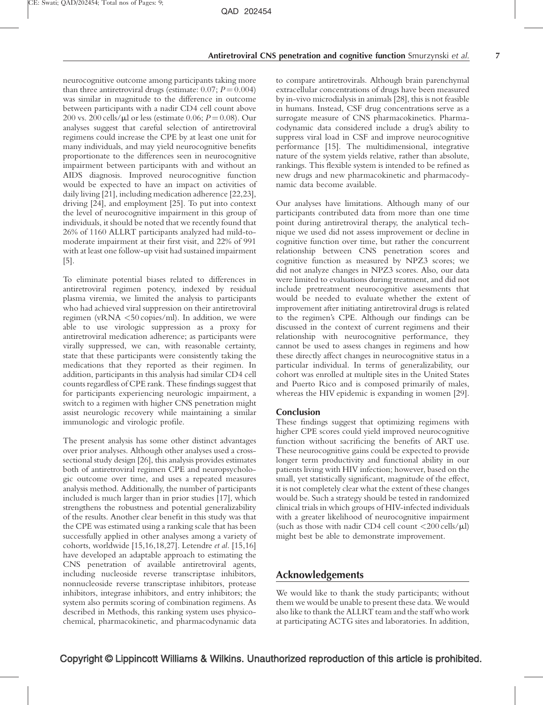neurocognitive outcome among participants taking more than three antiretroviral drugs (estimate:  $0.07$ ;  $P = 0.004$ ) was similar in magnitude to the difference in outcome between participants with a nadir CD4 cell count above 200 vs. 200 cells/ $\mu$ l or less (estimate 0.06;  $P = 0.08$ ). Our analyses suggest that careful selection of antiretroviral regimens could increase the CPE by at least one unit for many individuals, and may yield neurocognitive benefits proportionate to the differences seen in neurocognitive impairment between participants with and without an AIDS diagnosis. Improved neurocognitive function would be expected to have an impact on activities of daily living [\[21\]](#page-7-0), including medication adherence [\[22,23\]](#page-8-0), driving [\[24\]](#page-8-0), and employment [\[25\].](#page-8-0) To put into context the level of neurocognitive impairment in this group of individuals, it should be noted that we recently found that 26% of 1160 ALLRT participants analyzed had mild-tomoderate impairment at their first visit, and 22% of 991 with at least one follow-up visit had sustained impairment [\[5\]](#page-7-0).

To eliminate potential biases related to differences in antiretroviral regimen potency, indexed by residual plasma viremia, we limited the analysis to participants who had achieved viral suppression on their antiretroviral regimen (vRNA <50 copies/ml). In addition, we were able to use virologic suppression as a proxy for antiretroviral medication adherence; as participants were virally suppressed, we can, with reasonable certainty, state that these participants were consistently taking the medications that they reported as their regimen. In addition, participants in this analysis had similar CD4 cell counts regardless of CPE rank. These findings suggest that for participants experiencing neurologic impairment, a switch to a regimen with higher CNS penetration might assist neurologic recovery while maintaining a similar immunologic and virologic profile.

The present analysis has some other distinct advantages over prior analyses. Although other analyses used a crosssectional study design [\[26\]](#page-8-0), this analysis provides estimates both of antiretroviral regimen CPE and neuropsychologic outcome over time, and uses a repeated measures analysis method. Additionally, the number of participants included is much larger than in prior studies [\[17\],](#page-7-0) which strengthens the robustness and potential generalizability of the results. Another clear benefit in this study was that the CPE was estimated using a ranking scale that has been successfully applied in other analyses among a variety of cohorts, worldwide [\[15,16,18,27\]](#page-7-0). Letendre et al. [\[15,16\]](#page-7-0) have developed an adaptable approach to estimating the CNS penetration of available antiretroviral agents, including nucleoside reverse transcriptase inhibitors, nonnucleoside reverse transcriptase inhibitors, protease inhibitors, integrase inhibitors, and entry inhibitors; the system also permits scoring of combination regimens. As described in Methods, this ranking system uses physicochemical, pharmacokinetic, and pharmacodynamic data

to compare antiretrovirals. Although brain parenchymal extracellular concentrations of drugs have been measured by in-vivo microdialysis in animals [\[28\]](#page-8-0), this is not feasible in humans. Instead, CSF drug concentrations serve as a surrogate measure of CNS pharmacokinetics. Pharmacodynamic data considered include a drug's ability to suppress viral load in CSF and improve neurocognitive performance [\[15\]](#page-7-0). The multidimensional, integrative nature of the system yields relative, rather than absolute, rankings. This flexible system is intended to be refined as new drugs and new pharmacokinetic and pharmacodynamic data become available.

Our analyses have limitations. Although many of our participants contributed data from more than one time point during antiretroviral therapy, the analytical technique we used did not assess improvement or decline in cognitive function over time, but rather the concurrent relationship between CNS penetration scores and cognitive function as measured by NPZ3 scores; we did not analyze changes in NPZ3 scores. Also, our data were limited to evaluations during treatment, and did not include pretreatment neurocognitive assessments that would be needed to evaluate whether the extent of improvement after initiating antiretroviral drugs is related to the regimen's CPE. Although our findings can be discussed in the context of current regimens and their relationship with neurocognitive performance, they cannot be used to assess changes in regimens and how these directly affect changes in neurocognitive status in a particular individual. In terms of generalizability, our cohort was enrolled at multiple sites in the United States and Puerto Rico and is composed primarily of males, whereas the HIV epidemic is expanding in women [\[29\]](#page-8-0).

#### Conclusion

These findings suggest that optimizing regimens with higher CPE scores could yield improved neurocognitive function without sacrificing the benefits of ART use. These neurocognitive gains could be expected to provide longer term productivity and functional ability in our patients living with HIV infection; however, based on the small, yet statistically significant, magnitude of the effect, it is not completely clear what the extent of these changes would be. Such a strategy should be tested in randomized clinical trials in which groups of HIV-infected individuals with a greater likelihood of neurocognitive impairment (such as those with nadir CD4 cell count  $\langle 200 \text{ cells/}\mu l \rangle$ might best be able to demonstrate improvement.

# Acknowledgements

We would like to thank the study participants; without them we would be unable to present these data. We would also like to thank the ALLRT team and the staff who work at participating ACTG sites and laboratories. In addition,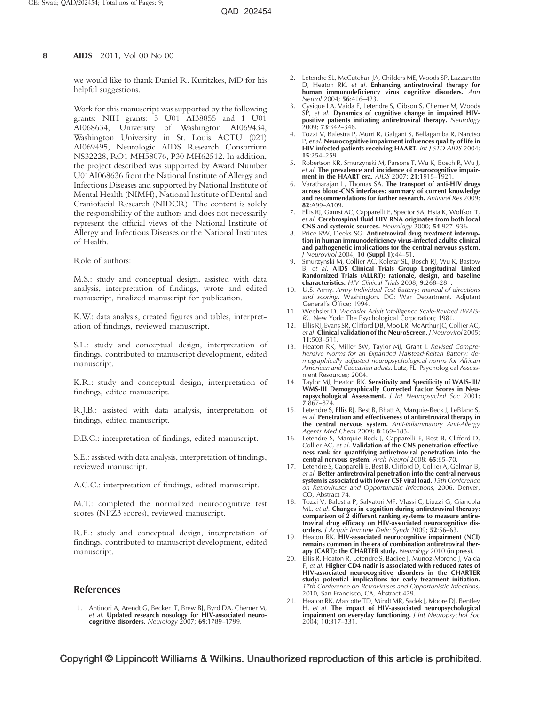<span id="page-7-0"></span>we would like to thank Daniel R. Kuritzkes, MD for his helpful suggestions.

Work for this manuscript was supported by the following grants: NIH grants: 5 U01 AI38855 and 1 U01 AI068634, University of Washington AI069434, Washington University in St. Louis ACTU (021) AI069495, Neurologic AIDS Research Consortium NS32228, RO1 MH58076, P30 MH62512. In addition, the project described was supported by Award Number U01AI068636 from the National Institute of Allergy and Infectious Diseases and supported by National Institute of Mental Health (NIMH), National Institute of Dental and Craniofacial Research (NIDCR). The content is solely the responsibility of the authors and does not necessarily represent the official views of the National Institute of Allergy and Infectious Diseases or the National Institutes of Health.

Role of authors:

M.S.: study and conceptual design, assisted with data analysis, interpretation of findings, wrote and edited manuscript, finalized manuscript for publication.

K.W.: data analysis, created figures and tables, interpretation of findings, reviewed manuscript.

S.L.: study and conceptual design, interpretation of findings, contributed to manuscript development, edited manuscript.

K.R.: study and conceptual design, interpretation of findings, edited manuscript.

R.J.B.: assisted with data analysis, interpretation of findings, edited manuscript.

D.B.C.: interpretation of findings, edited manuscript.

S.E.: assisted with data analysis, interpretation of findings, reviewed manuscript.

A.C.C.: interpretation of findings, edited manuscript.

M.T.: completed the normalized neurocognitive test scores (NPZ3 scores), reviewed manuscript.

R.E.: study and conceptual design, interpretation of findings, contributed to manuscript development, edited manuscript.

# References

- 2. Letendre SL, McCutchan JA, Childers ME, Woods SP, Lazzaretto D, Heaton RK, et al. Enhancing antiretroviral therapy for human immunodeficiency virus cognitive disorders. Ann Neurol 2004; 56:416–423.
- 3. Cysique LA, Vaida F, Letendre S, Gibson S, Cherner M, Woods SP, et al. Dynamics of cognitive change in impaired HIVpositive patients initiating antiretroviral therapy. Neurology 2009; 73:342–348.
- 4. Tozzi V, Balestra P, Murri R, Galgani S, Bellagamba R, Narciso P, et al. Neurocognitive impairment influences quality of life in HIV-infected patients receiving HAART. Int J STD AIDS 2004; 15:254–259.
- 5. Robertson KR, Smurzynski M, Parsons T, Wu K, Bosch R, Wu J, et al. The prevalence and incidence of neurocognitive impairment in the HAART era. AIDS 2007; 21:1915–1921.
- 6. Varatharajan L, Thomas SA. **The transport of anti-HIV drugs** across blood-CNS interfaces: summary of current knowledge and recommendations for further research. Antiviral Res 2009; 82:A99–A109.
- 7. Ellis RJ, Gamst AC, Capparelli E, Spector SA, Hsia K, Wolfson T, et al. Cerebrospinal fluid HIV RNA originates from both local CNS and systemic sources. Neurology 2000; 54:927–936.
- 8. Price RW, Deeks SG. Antiretroviral drug treatment interruption in human immunodeficiency virus-infected adults: clinical and pathogenetic implications for the central nervous system. J Neurovirol 2004; 10 (Suppl 1):44–51.
- 9. Smurzynski M, Collier AC, Koletar SL, Bosch RJ, Wu K, Bastow B, et al. AIDS Clinical Trials Group Longitudinal Linked Randomized Trials (ALLRT): rationale, design, and baseline characteristics. HIV Clinical Trials 2008; 9:268–281.
- 10. U.S. Army. Army Individual Test Battery: manual of directions and scoring. Washington, DC: War Department, Adjutant General's Office; 1994.
- 11. Wechsler D. Wechsler Adult Intelligence Scale-Revised (WAIS-R). New York: The Psychological Corporation; 1981.
- 12. Ellis RJ, Evans SR, Clifford DB, Moo LR, McArthur JC, Collier AC, et al. Clinical validation of the NeuroScreen. J Neurovirol 2005; 11:503–511.
- 13. Heaton RK, Miller SW, Taylor MJ, Grant I. Revised Comprehensive Norms for an Expanded Halstead-Reitan Battery: demographically adjusted neuropsychological norms for African American and Caucasian adults. Lutz, FL: Psychological Assessment Resources; 2004.
- 14. Taylor MJ, Heaton RK. Sensitivity and Specificity of WAIS-III/ WMS-III Demographically Corrected Factor Scores in Neuropsychological Assessment. J Int Neuropsychol Soc 2001; 7:867–874.
- 15. Letendre S, Ellis RJ, Best B, Bhatt A, Marquie-Beck J, LeBlanc S, et al. Penetration and effectiveness of antiretroviral therapy in the central nervous system. Anti-inflammatory Anti-Allergy Agents Med Chem 2009; 8:169-183.
- 16. Letendre S, Marquie-Beck J, Capparelli E, Best B, Clifford D, Collier AC, et al. Validation of the CNS penetration-effectiveness rank for quantifying antiretroviral penetration into the central nervous system. Arch Neurol 2008; 65:65–70.
- 17. Letendre S, Capparelli E, Best B, Clifford D, Collier A, Gelman B, et al. Better antiretroviral penetration into the central nervous system is associated with lower CSF viral load. 13th Conference on Retroviruses and Opportunistic Infections, 2006, Denver, CO, Abstract 74.
- 18. Tozzi V, Balestra P, Salvatori MF, Vlassi C, Liuzzi G, Giancola ML, et al. **Changes in cognition during antiretroviral therapy:** comparison of 2 different ranking systems to measure antiretroviral drug efficacy on HIV-associated neurocognitive disorders. J Acquir Immune Defic Syndr 2009; 52:56-63.
- 19. Heaton RK. HIV-associated neurocognitive impairment (NCI) remains common in the era of combination antiretroviral therapy (CART): the CHARTER study. Neurology 2010 (in press).
- 20. Ellis R, Heaton R, Letendre S, Badiee J, Munoz-Moreno J, Vaida F, et al. Higher CD4 nadir is associated with reduced rates of HIV-associated neurocognitive disorders in the CHARTER study: potential implications for early treatment initiation. 17th Conference on Retroviruses and Opportunistic Infections, 2010, San Francisco, CA, Abstract 429.
- 21. Heaton RK, Marcotte TD, Mindt MR, Sadek J, Moore DJ, Bentley H, et al. The impact of HIV-associated neuropsychological impairment on everyday functioning. *J Int Neuropsychol Soc* 2004; 10:317–331.

<sup>1.</sup> Antinori A, Arendt G, Becker JT, Brew BJ, Byrd DA, Cherner M, et al. Updated research nosology for HIV-associated neurocognitive disorders. Neurology 2007; 69:1789-1799.